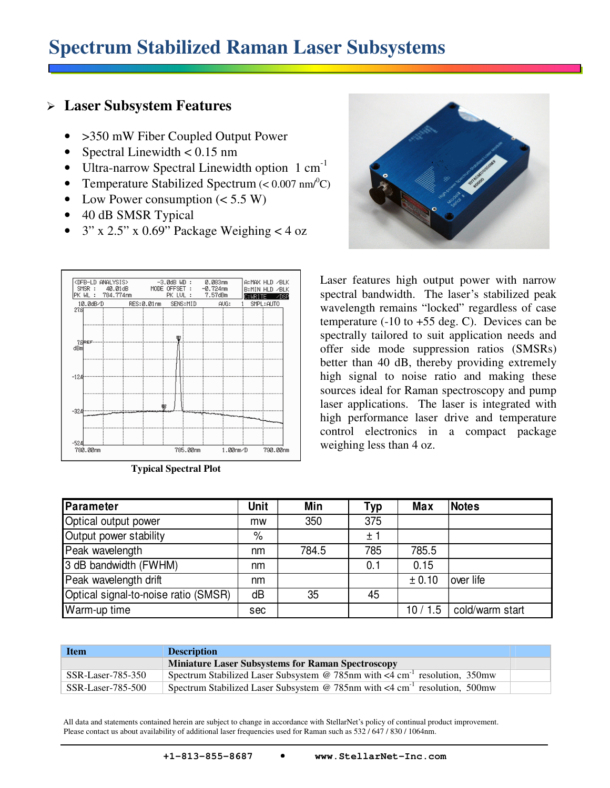## **Spectrum Stabilized Raman Laser Subsystems**

## **Laser Subsystem Features**

- > 350 mW Fiber Coupled Output Power
- Spectral Linewidth  $< 0.15$  nm
- Ultra-narrow Spectral Linewidth option 1 cm<sup>-1</sup>
- Temperature Stabilized Spectrum  $( $0.007 \text{ nm}^0\text{C}$ )$
- Low Power consumption  $(< 5.5 W)$
- 40 dB SMSR Typical
- $3''$  x 2.5" x 0.69" Package Weighing < 4 oz





Laser features high output power with narrow spectral bandwidth. The laser's stabilized peak wavelength remains "locked" regardless of case temperature  $(-10 \text{ to } +55 \text{ deg. C})$ . Devices can be spectrally tailored to suit application needs and offer side mode suppression ratios (SMSRs) better than 40 dB, thereby providing extremely high signal to noise ratio and making these sources ideal for Raman spectroscopy and pump laser applications. The laser is integrated with high performance laser drive and temperature control electronics in a compact package weighing less than 4 oz.

| <b>Parameter</b>                     | Unit | Min   | Typ | <b>Max</b> | <b>Notes</b>    |
|--------------------------------------|------|-------|-----|------------|-----------------|
| Optical output power                 | mw   | 350   | 375 |            |                 |
| Output power stability               | $\%$ |       | ±1  |            |                 |
| Peak wavelength                      | nm   | 784.5 | 785 | 785.5      |                 |
| 3 dB bandwidth (FWHM)                | nm   |       | 0.1 | 0.15       |                 |
| Peak wavelength drift                | nm   |       |     | ± 0.10     | lover life      |
| Optical signal-to-noise ratio (SMSR) | dB   | 35    | 45  |            |                 |
| Warm-up time                         | sec  |       |     | 10/1.5     | cold/warm start |

| <b>Item</b>       | <b>Description</b>                                                                           |  |
|-------------------|----------------------------------------------------------------------------------------------|--|
|                   | <b>Miniature Laser Subsystems for Raman Spectroscopy</b>                                     |  |
| SSR-Laser-785-350 | Spectrum Stabilized Laser Subsystem @ 785nm with $\leq 4$ cm <sup>-1</sup> resolution, 350mw |  |
| SSR-Laser-785-500 | Spectrum Stabilized Laser Subsystem @ 785nm with $\leq 4$ cm <sup>-1</sup> resolution, 500mw |  |

 All data and statements contained herein are subject to change in accordance with StellarNet's policy of continual product improvement. Please contact us about availability of additional laser frequencies used for Raman such as 532 / 647 / 830 / 1064nm.